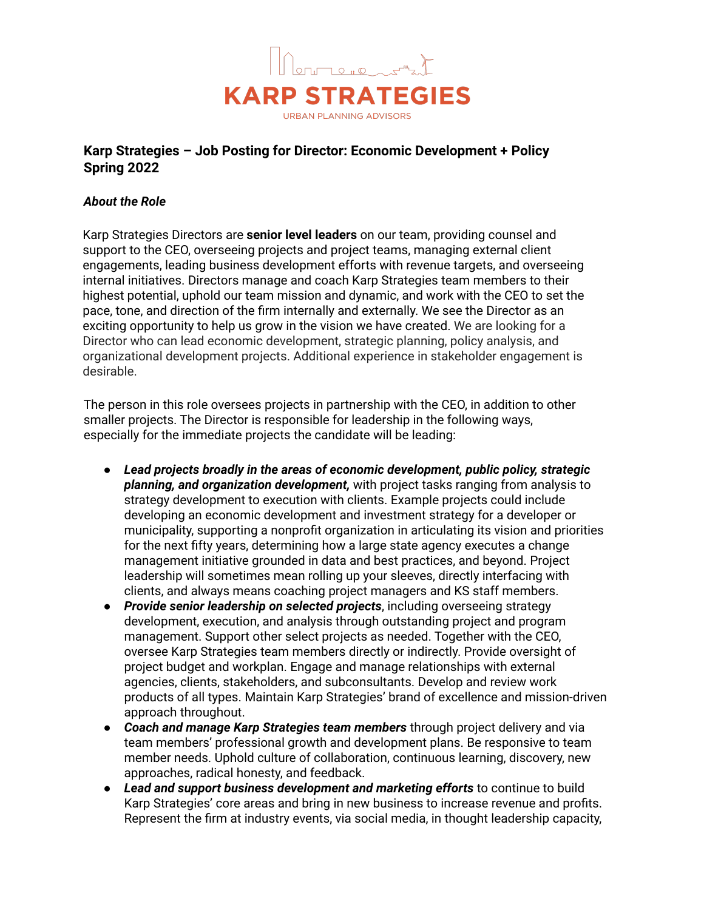

# **Karp Strategies – Job Posting for Director: Economic Development + Policy Spring 2022**

## *About the Role*

Karp Strategies Directors are **senior level leaders** on our team, providing counsel and support to the CEO, overseeing projects and project teams, managing external client engagements, leading business development efforts with revenue targets, and overseeing internal initiatives. Directors manage and coach Karp Strategies team members to their highest potential, uphold our team mission and dynamic, and work with the CEO to set the pace, tone, and direction of the firm internally and externally. We see the Director as an exciting opportunity to help us grow in the vision we have created. We are looking for a Director who can lead economic development, strategic planning, policy analysis, and organizational development projects. Additional experience in stakeholder engagement is desirable.

The person in this role oversees projects in partnership with the CEO, in addition to other smaller projects. The Director is responsible for leadership in the following ways, especially for the immediate projects the candidate will be leading:

- *Lead projects broadly in the areas of economic development, public policy, strategic planning, and organization development,* with project tasks ranging from analysis to strategy development to execution with clients. Example projects could include developing an economic development and investment strategy for a developer or municipality, supporting a nonprofit organization in articulating its vision and priorities for the next fifty years, determining how a large state agency executes a change management initiative grounded in data and best practices, and beyond. Project leadership will sometimes mean rolling up your sleeves, directly interfacing with clients, and always means coaching project managers and KS staff members.
- *Provide senior leadership on selected projects*, including overseeing strategy development, execution, and analysis through outstanding project and program management. Support other select projects as needed. Together with the CEO, oversee Karp Strategies team members directly or indirectly. Provide oversight of project budget and workplan. Engage and manage relationships with external agencies, clients, stakeholders, and subconsultants. Develop and review work products of all types. Maintain Karp Strategies' brand of excellence and mission-driven approach throughout.
- *Coach and manage Karp Strategies team members* through project delivery and via team members' professional growth and development plans. Be responsive to team member needs. Uphold culture of collaboration, continuous learning, discovery, new approaches, radical honesty, and feedback.
- *Lead and support business development and marketing efforts* to continue to build Karp Strategies' core areas and bring in new business to increase revenue and profits. Represent the firm at industry events, via social media, in thought leadership capacity,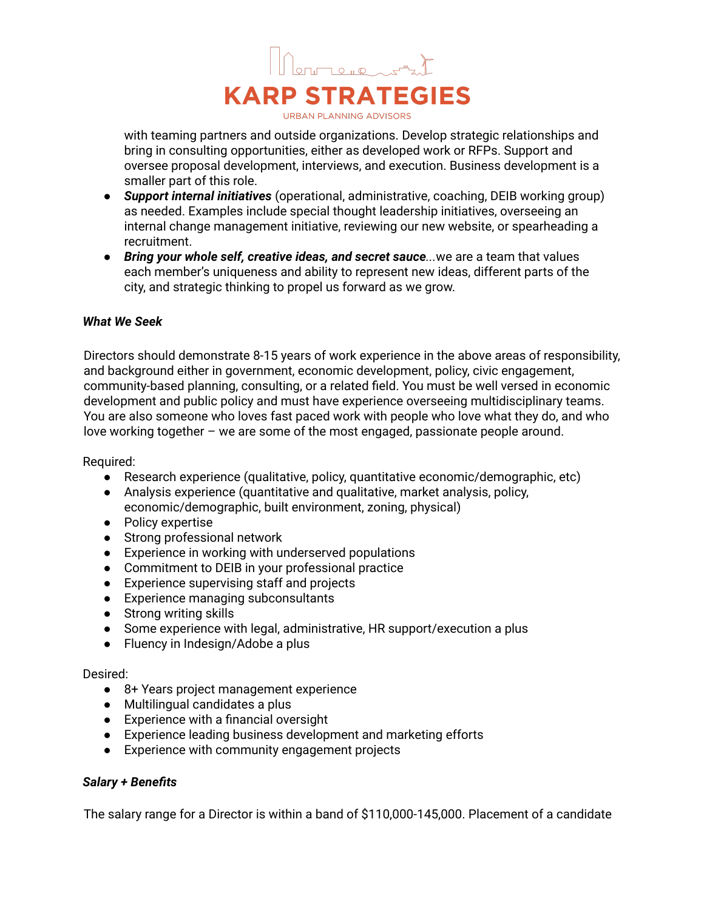

with teaming partners and outside organizations. Develop strategic relationships and bring in consulting opportunities, either as developed work or RFPs. Support and oversee proposal development, interviews, and execution. Business development is a smaller part of this role.

- *Support internal initiatives* (operational, administrative, coaching, DEIB working group) as needed. Examples include special thought leadership initiatives, overseeing an internal change management initiative, reviewing our new website, or spearheading a recruitment.
- *Bring your whole self, creative ideas, and secret sauce...*we are a team that values each member's uniqueness and ability to represent new ideas, different parts of the city, and strategic thinking to propel us forward as we grow.

#### *What We Seek*

Directors should demonstrate 8-15 years of work experience in the above areas of responsibility, and background either in government, economic development, policy, civic engagement, community-based planning, consulting, or a related field. You must be well versed in economic development and public policy and must have experience overseeing multidisciplinary teams. You are also someone who loves fast paced work with people who love what they do, and who love working together – we are some of the most engaged, passionate people around.

Required:

- Research experience (qualitative, policy, quantitative economic/demographic, etc)
- Analysis experience (quantitative and qualitative, market analysis, policy, economic/demographic, built environment, zoning, physical)
- Policy expertise
- Strong professional network
- Experience in working with underserved populations
- Commitment to DEIB in your professional practice
- Experience supervising staff and projects
- Experience managing subconsultants
- Strong writing skills
- Some experience with legal, administrative, HR support/execution a plus
- Fluency in Indesign/Adobe a plus

#### Desired:

- 8+ Years project management experience
- Multilingual candidates a plus
- Experience with a financial oversight
- Experience leading business development and marketing efforts
- Experience with community engagement projects

### *Salary + Benefits*

The salary range for a Director is within a band of \$110,000-145,000. Placement of a candidate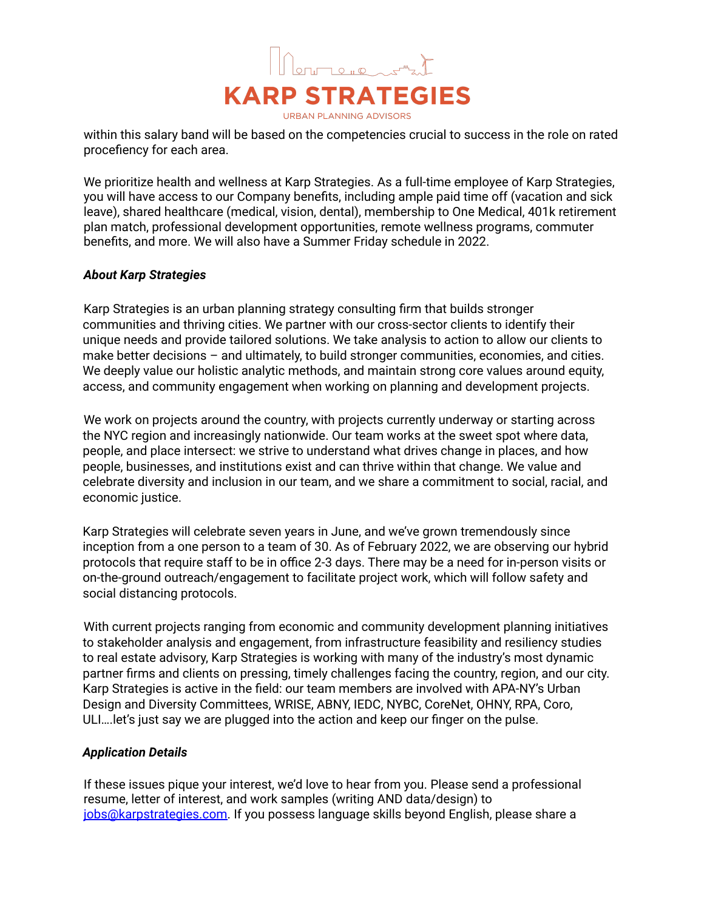

within this salary band will be based on the competencies crucial to success in the role on rated procefiency for each area.

We prioritize health and wellness at Karp Strategies. As a full-time employee of Karp Strategies, you will have access to our Company benefits, including ample paid time off (vacation and sick leave), shared healthcare (medical, vision, dental), membership to One Medical, 401k retirement plan match, professional development opportunities, remote wellness programs, commuter benefits, and more. We will also have a Summer Friday schedule in 2022.

## *About Karp Strategies*

Karp Strategies is an urban planning strategy consulting firm that builds stronger communities and thriving cities. We partner with our cross-sector clients to identify their unique needs and provide tailored solutions. We take analysis to action to allow our clients to make better decisions – and ultimately, to build stronger communities, economies, and cities. We deeply value our holistic analytic methods, and maintain strong core values around equity, access, and community engagement when working on planning and development projects.

We work on projects around the country, with projects currently underway or starting across the NYC region and increasingly nationwide. Our team works at the sweet spot where data, people, and place intersect: we strive to understand what drives change in places, and how people, businesses, and institutions exist and can thrive within that change. We value and celebrate diversity and inclusion in our team, and we share a commitment to social, racial, and economic justice.

Karp Strategies will celebrate seven years in June, and we've grown tremendously since inception from a one person to a team of 30. As of February 2022, we are observing our hybrid protocols that require staff to be in office 2-3 days. There may be a need for in-person visits or on-the-ground outreach/engagement to facilitate project work, which will follow safety and social distancing protocols.

With current projects ranging from economic and community development planning initiatives to stakeholder analysis and engagement, from infrastructure feasibility and resiliency studies to real estate advisory, Karp Strategies is working with many of the industry's most dynamic partner firms and clients on pressing, timely challenges facing the country, region, and our city. Karp Strategies is active in the field: our team members are involved with APA-NY's Urban Design and Diversity Committees, WRISE, ABNY, IEDC, NYBC, CoreNet, OHNY, RPA, Coro, ULI….let's just say we are plugged into the action and keep our finger on the pulse.

## *Application Details*

If these issues pique your interest, we'd love to hear from you. Please send a professional resume, letter of interest, and work samples (writing AND data/design) to jobs@karpstrategies.com. If you possess language skills beyond English, please share a